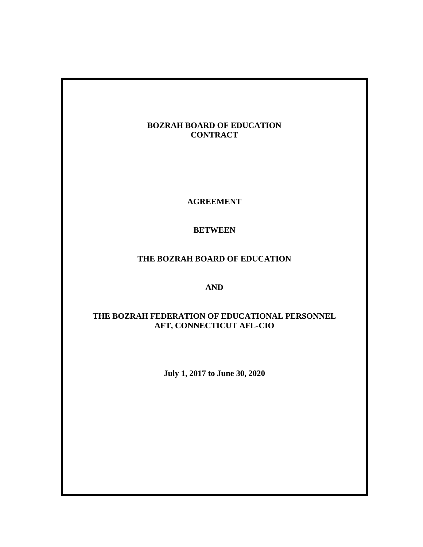# **BOZRAH BOARD OF EDUCATION CONTRACT**

**AGREEMENT**

**BETWEEN**

# **THE BOZRAH BOARD OF EDUCATION**

# **AND**

# **THE BOZRAH FEDERATION OF EDUCATIONAL PERSONNEL AFT, CONNECTICUT AFL-CIO**

**July 1, 2017 to June 30, 2020**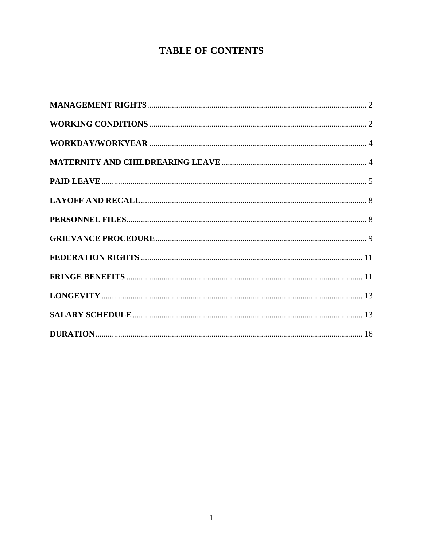# **TABLE OF CONTENTS**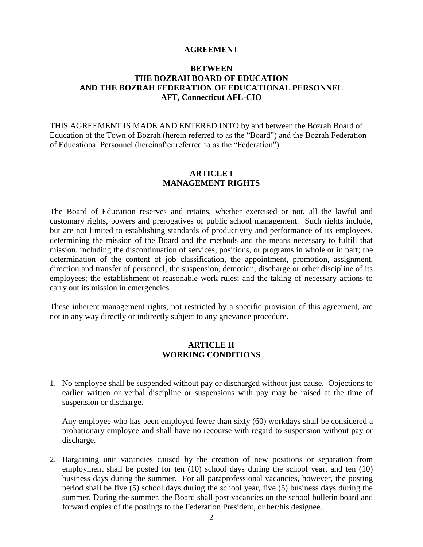#### **AGREEMENT**

#### **BETWEEN THE BOZRAH BOARD OF EDUCATION AND THE BOZRAH FEDERATION OF EDUCATIONAL PERSONNEL AFT, Connecticut AFL-CIO**

THIS AGREEMENT IS MADE AND ENTERED INTO by and between the Bozrah Board of Education of the Town of Bozrah (herein referred to as the "Board") and the Bozrah Federation of Educational Personnel (hereinafter referred to as the "Federation")

#### **ARTICLE I MANAGEMENT RIGHTS**

<span id="page-2-0"></span>The Board of Education reserves and retains, whether exercised or not, all the lawful and customary rights, powers and prerogatives of public school management. Such rights include, but are not limited to establishing standards of productivity and performance of its employees, determining the mission of the Board and the methods and the means necessary to fulfill that mission, including the discontinuation of services, positions, or programs in whole or in part; the determination of the content of job classification, the appointment, promotion, assignment, direction and transfer of personnel; the suspension, demotion, discharge or other discipline of its employees; the establishment of reasonable work rules; and the taking of necessary actions to carry out its mission in emergencies.

These inherent management rights, not restricted by a specific provision of this agreement, are not in any way directly or indirectly subject to any grievance procedure.

#### **ARTICLE II WORKING CONDITIONS**

<span id="page-2-1"></span>1. No employee shall be suspended without pay or discharged without just cause. Objections to earlier written or verbal discipline or suspensions with pay may be raised at the time of suspension or discharge.

Any employee who has been employed fewer than sixty (60) workdays shall be considered a probationary employee and shall have no recourse with regard to suspension without pay or discharge.

2. Bargaining unit vacancies caused by the creation of new positions or separation from employment shall be posted for ten (10) school days during the school year, and ten (10) business days during the summer. For all paraprofessional vacancies, however, the posting period shall be five (5) school days during the school year, five (5) business days during the summer. During the summer, the Board shall post vacancies on the school bulletin board and forward copies of the postings to the Federation President, or her/his designee.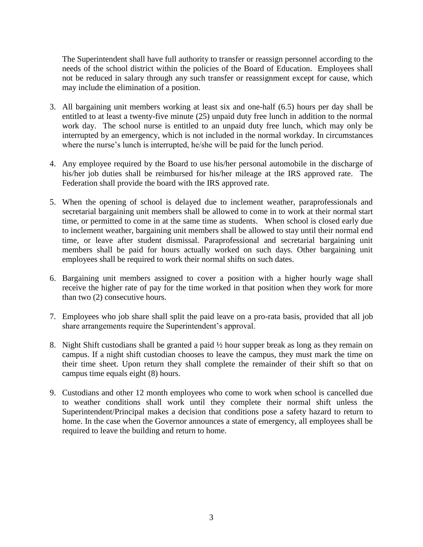The Superintendent shall have full authority to transfer or reassign personnel according to the needs of the school district within the policies of the Board of Education. Employees shall not be reduced in salary through any such transfer or reassignment except for cause, which may include the elimination of a position.

- 3. All bargaining unit members working at least six and one-half (6.5) hours per day shall be entitled to at least a twenty-five minute (25) unpaid duty free lunch in addition to the normal work day. The school nurse is entitled to an unpaid duty free lunch, which may only be interrupted by an emergency, which is not included in the normal workday. In circumstances where the nurse's lunch is interrupted, he/she will be paid for the lunch period.
- 4. Any employee required by the Board to use his/her personal automobile in the discharge of his/her job duties shall be reimbursed for his/her mileage at the IRS approved rate. The Federation shall provide the board with the IRS approved rate.
- 5. When the opening of school is delayed due to inclement weather, paraprofessionals and secretarial bargaining unit members shall be allowed to come in to work at their normal start time, or permitted to come in at the same time as students. When school is closed early due to inclement weather, bargaining unit members shall be allowed to stay until their normal end time, or leave after student dismissal. Paraprofessional and secretarial bargaining unit members shall be paid for hours actually worked on such days. Other bargaining unit employees shall be required to work their normal shifts on such dates.
- 6. Bargaining unit members assigned to cover a position with a higher hourly wage shall receive the higher rate of pay for the time worked in that position when they work for more than two (2) consecutive hours.
- 7. Employees who job share shall split the paid leave on a pro-rata basis, provided that all job share arrangements require the Superintendent's approval.
- 8. Night Shift custodians shall be granted a paid  $\frac{1}{2}$  hour supper break as long as they remain on campus. If a night shift custodian chooses to leave the campus, they must mark the time on their time sheet. Upon return they shall complete the remainder of their shift so that on campus time equals eight (8) hours.
- 9. Custodians and other 12 month employees who come to work when school is cancelled due to weather conditions shall work until they complete their normal shift unless the Superintendent/Principal makes a decision that conditions pose a safety hazard to return to home. In the case when the Governor announces a state of emergency, all employees shall be required to leave the building and return to home.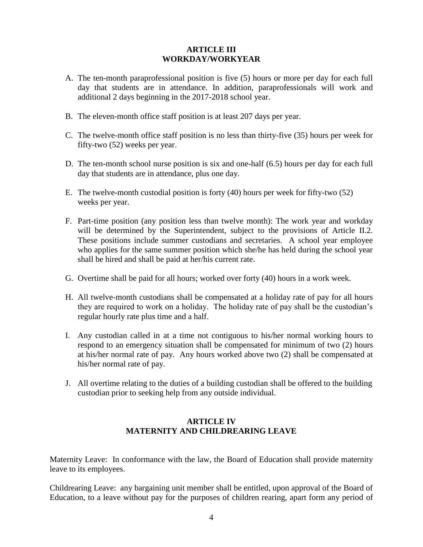## **ARTICLE III WORKDAY/WORKYEAR**

- <span id="page-4-0"></span>A. The ten-month paraprofessional position is five (5) hours or more per day for each full day that students are in attendance. In addition, paraprofessionals will work and additional 2 days beginning in the 2017-2018 school year.
- B. The eleven-month office staff position is at least 207 days per year.
- C. The twelve-month office staff position is no less than thirty-five (35) hours per week for fifty-two (52) weeks per year.
- D. The ten-month school nurse position is six and one-half (6.5) hours per day for each full day that students are in attendance, plus one day.
- E. The twelve-month custodial position is forty (40) hours per week for fifty-two (52) weeks per year.
- F. Part-time position (any position less than twelve month): The work year and workday will be determined by the Superintendent, subject to the provisions of Article II.2. These positions include summer custodians and secretaries. A school year employee who applies for the same summer position which she/he has held during the school year shall be hired and shall be paid at her/his current rate.
- G. Overtime shall be paid for all hours; worked over forty (40) hours in a work week.
- H. All twelve-month custodians shall be compensated at a holiday rate of pay for all hours they are required to work on a holiday. The holiday rate of pay shall be the custodian's regular hourly rate plus time and a half.
- I. Any custodian called in at a time not contiguous to his/her normal working hours to respond to an emergency situation shall be compensated for minimum of two (2) hours at his/her normal rate of pay. Any hours worked above two (2) shall be compensated at his/her normal rate of pay.
- J. All overtime relating to the duties of a building custodian shall be offered to the building custodian prior to seeking help from any outside individual.

#### **ARTICLE IV MATERNITY AND CHILDREARING LEAVE**

<span id="page-4-1"></span>Maternity Leave: In conformance with the law, the Board of Education shall provide maternity leave to its employees.

Childrearing Leave: any bargaining unit member shall be entitled, upon approval of the Board of Education, to a leave without pay for the purposes of children rearing, apart form any period of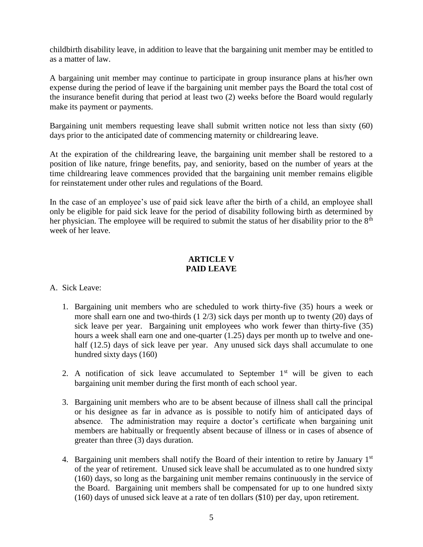childbirth disability leave, in addition to leave that the bargaining unit member may be entitled to as a matter of law.

A bargaining unit member may continue to participate in group insurance plans at his/her own expense during the period of leave if the bargaining unit member pays the Board the total cost of the insurance benefit during that period at least two (2) weeks before the Board would regularly make its payment or payments.

Bargaining unit members requesting leave shall submit written notice not less than sixty (60) days prior to the anticipated date of commencing maternity or childrearing leave.

At the expiration of the childrearing leave, the bargaining unit member shall be restored to a position of like nature, fringe benefits, pay, and seniority, based on the number of years at the time childrearing leave commences provided that the bargaining unit member remains eligible for reinstatement under other rules and regulations of the Board.

In the case of an employee's use of paid sick leave after the birth of a child, an employee shall only be eligible for paid sick leave for the period of disability following birth as determined by her physician. The employee will be required to submit the status of her disability prior to the 8<sup>th</sup> week of her leave.

#### **ARTICLE V PAID LEAVE**

#### <span id="page-5-0"></span>A. Sick Leave:

- 1. Bargaining unit members who are scheduled to work thirty-five (35) hours a week or more shall earn one and two-thirds (1 2/3) sick days per month up to twenty (20) days of sick leave per year. Bargaining unit employees who work fewer than thirty-five (35) hours a week shall earn one and one-quarter (1.25) days per month up to twelve and onehalf (12.5) days of sick leave per year. Any unused sick days shall accumulate to one hundred sixty days (160)
- 2. A notification of sick leave accumulated to September  $1<sup>st</sup>$  will be given to each bargaining unit member during the first month of each school year.
- 3. Bargaining unit members who are to be absent because of illness shall call the principal or his designee as far in advance as is possible to notify him of anticipated days of absence. The administration may require a doctor's certificate when bargaining unit members are habitually or frequently absent because of illness or in cases of absence of greater than three (3) days duration.
- 4. Bargaining unit members shall notify the Board of their intention to retire by January 1st of the year of retirement. Unused sick leave shall be accumulated as to one hundred sixty (160) days, so long as the bargaining unit member remains continuously in the service of the Board. Bargaining unit members shall be compensated for up to one hundred sixty (160) days of unused sick leave at a rate of ten dollars (\$10) per day, upon retirement.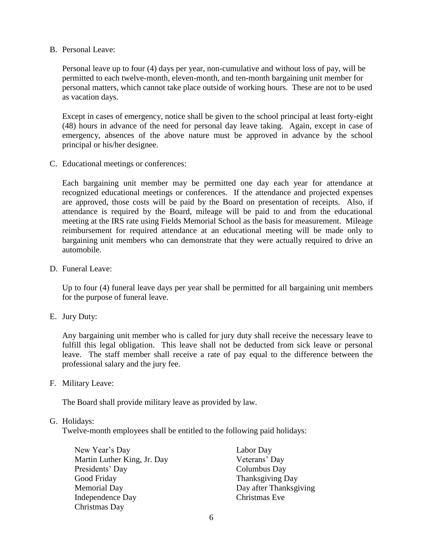B. Personal Leave:

Personal leave up to four (4) days per year, non-cumulative and without loss of pay, will be permitted to each twelve-month, eleven-month, and ten-month bargaining unit member for personal matters, which cannot take place outside of working hours. These are not to be used as vacation days.

Except in cases of emergency, notice shall be given to the school principal at least forty-eight (48) hours in advance of the need for personal day leave taking. Again, except in case of emergency, absences of the above nature must be approved in advance by the school principal or his/her designee.

C. Educational meetings or conferences:

Each bargaining unit member may be permitted one day each year for attendance at recognized educational meetings or conferences. If the attendance and projected expenses are approved, those costs will be paid by the Board on presentation of receipts. Also, if attendance is required by the Board, mileage will be paid to and from the educational meeting at the IRS rate using Fields Memorial School as the basis for measurement. Mileage reimbursement for required attendance at an educational meeting will be made only to bargaining unit members who can demonstrate that they were actually required to drive an automobile.

D. Funeral Leave:

Up to four (4) funeral leave days per year shall be permitted for all bargaining unit members for the purpose of funeral leave.

E. Jury Duty:

Any bargaining unit member who is called for jury duty shall receive the necessary leave to fulfill this legal obligation. This leave shall not be deducted from sick leave or personal leave. The staff member shall receive a rate of pay equal to the difference between the professional salary and the jury fee.

F. Military Leave:

The Board shall provide military leave as provided by law.

#### G. Holidays:

Twelve-month employees shall be entitled to the following paid holidays:

| New Year's Day              | Labor Day              |
|-----------------------------|------------------------|
| Martin Luther King, Jr. Day | Veterans' Day          |
| Presidents' Day             | Columbus Day           |
| Good Friday                 | Thanksgiving Day       |
| <b>Memorial Day</b>         | Day after Thanksgiving |
| Independence Day            | Christmas Eve          |
| Christmas Day               |                        |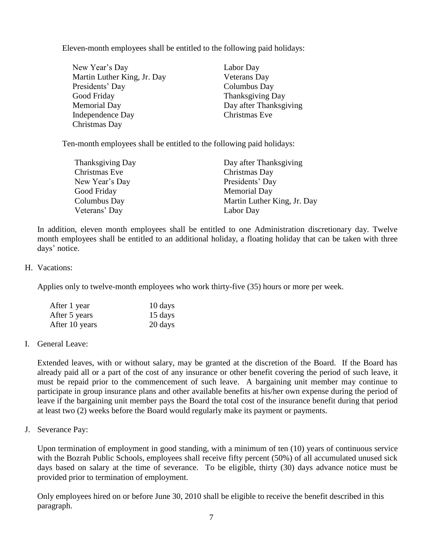Eleven-month employees shall be entitled to the following paid holidays:

| New Year's Day              | Labor Day              |
|-----------------------------|------------------------|
| Martin Luther King, Jr. Day | <b>Veterans</b> Day    |
| Presidents' Day             | Columbus Day           |
| Good Friday                 | Thanksgiving Day       |
| <b>Memorial Day</b>         | Day after Thanksgiving |
| Independence Day            | Christmas Eve          |
| Christmas Day               |                        |

Ten-month employees shall be entitled to the following paid holidays:

| <b>Thanksgiving Day</b> | Day after Thanksgiving      |
|-------------------------|-----------------------------|
| Christmas Eve           | Christmas Day               |
| New Year's Day          | Presidents' Day             |
| Good Friday             | <b>Memorial Day</b>         |
| Columbus Day            | Martin Luther King, Jr. Day |
| Veterans' Day           | Labor Day                   |

In addition, eleven month employees shall be entitled to one Administration discretionary day. Twelve month employees shall be entitled to an additional holiday, a floating holiday that can be taken with three days' notice.

#### H. Vacations:

Applies only to twelve-month employees who work thirty-five (35) hours or more per week.

| After 1 year   | 10 days |
|----------------|---------|
| After 5 years  | 15 days |
| After 10 years | 20 days |

#### I. General Leave:

Extended leaves, with or without salary, may be granted at the discretion of the Board. If the Board has already paid all or a part of the cost of any insurance or other benefit covering the period of such leave, it must be repaid prior to the commencement of such leave. A bargaining unit member may continue to participate in group insurance plans and other available benefits at his/her own expense during the period of leave if the bargaining unit member pays the Board the total cost of the insurance benefit during that period at least two (2) weeks before the Board would regularly make its payment or payments.

J. Severance Pay:

Upon termination of employment in good standing, with a minimum of ten (10) years of continuous service with the Bozrah Public Schools, employees shall receive fifty percent (50%) of all accumulated unused sick days based on salary at the time of severance. To be eligible, thirty (30) days advance notice must be provided prior to termination of employment.

Only employees hired on or before June 30, 2010 shall be eligible to receive the benefit described in this paragraph.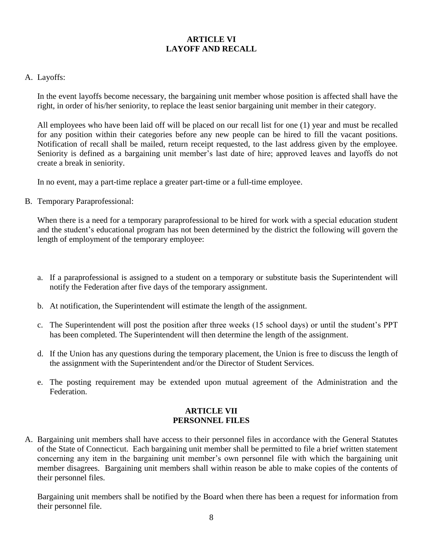# **ARTICLE VI LAYOFF AND RECALL**

#### <span id="page-8-0"></span>A. Layoffs:

In the event layoffs become necessary, the bargaining unit member whose position is affected shall have the right, in order of his/her seniority, to replace the least senior bargaining unit member in their category.

All employees who have been laid off will be placed on our recall list for one (1) year and must be recalled for any position within their categories before any new people can be hired to fill the vacant positions. Notification of recall shall be mailed, return receipt requested, to the last address given by the employee. Seniority is defined as a bargaining unit member's last date of hire; approved leaves and layoffs do not create a break in seniority.

In no event, may a part-time replace a greater part-time or a full-time employee.

B. Temporary Paraprofessional:

When there is a need for a temporary paraprofessional to be hired for work with a special education student and the student's educational program has not been determined by the district the following will govern the length of employment of the temporary employee:

- a. If a paraprofessional is assigned to a student on a temporary or substitute basis the Superintendent will notify the Federation after five days of the temporary assignment.
- b. At notification, the Superintendent will estimate the length of the assignment.
- c. The Superintendent will post the position after three weeks (15 school days) or until the student's PPT has been completed. The Superintendent will then determine the length of the assignment.
- d. If the Union has any questions during the temporary placement, the Union is free to discuss the length of the assignment with the Superintendent and/or the Director of Student Services.
- e. The posting requirement may be extended upon mutual agreement of the Administration and the Federation.

# **ARTICLE VII PERSONNEL FILES**

<span id="page-8-1"></span>A. Bargaining unit members shall have access to their personnel files in accordance with the General Statutes of the State of Connecticut. Each bargaining unit member shall be permitted to file a brief written statement concerning any item in the bargaining unit member's own personnel file with which the bargaining unit member disagrees. Bargaining unit members shall within reason be able to make copies of the contents of their personnel files.

Bargaining unit members shall be notified by the Board when there has been a request for information from their personnel file.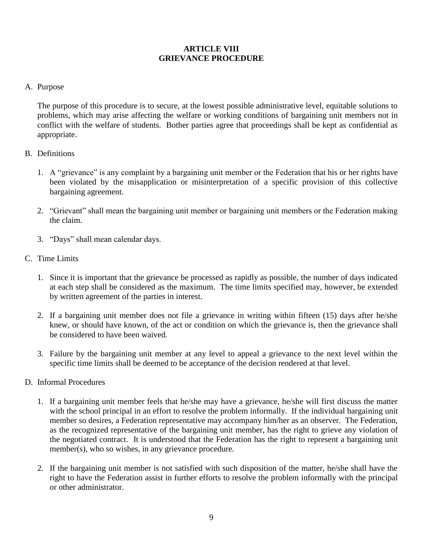# **ARTICLE VIII GRIEVANCE PROCEDURE**

## <span id="page-9-0"></span>A. Purpose

The purpose of this procedure is to secure, at the lowest possible administrative level, equitable solutions to problems, which may arise affecting the welfare or working conditions of bargaining unit members not in conflict with the welfare of students. Bother parties agree that proceedings shall be kept as confidential as appropriate.

- B. Definitions
	- 1. A "grievance" is any complaint by a bargaining unit member or the Federation that his or her rights have been violated by the misapplication or misinterpretation of a specific provision of this collective bargaining agreement.
	- 2. "Grievant" shall mean the bargaining unit member or bargaining unit members or the Federation making the claim.
	- 3. "Days" shall mean calendar days.
- C. Time Limits
	- 1. Since it is important that the grievance be processed as rapidly as possible, the number of days indicated at each step shall be considered as the maximum. The time limits specified may, however, be extended by written agreement of the parties in interest.
	- 2. If a bargaining unit member does not file a grievance in writing within fifteen (15) days after he/she knew, or should have known, of the act or condition on which the grievance is, then the grievance shall be considered to have been waived.
	- 3. Failure by the bargaining unit member at any level to appeal a grievance to the next level within the specific time limits shall be deemed to be acceptance of the decision rendered at that level.
- D. Informal Procedures
	- 1. If a bargaining unit member feels that he/she may have a grievance, he/she will first discuss the matter with the school principal in an effort to resolve the problem informally. If the individual bargaining unit member so desires, a Federation representative may accompany him/her as an observer. The Federation, as the recognized representative of the bargaining unit member, has the right to grieve any violation of the negotiated contract. It is understood that the Federation has the right to represent a bargaining unit member(s), who so wishes, in any grievance procedure.
	- 2. If the bargaining unit member is not satisfied with such disposition of the matter, he/she shall have the right to have the Federation assist in further efforts to resolve the problem informally with the principal or other administrator.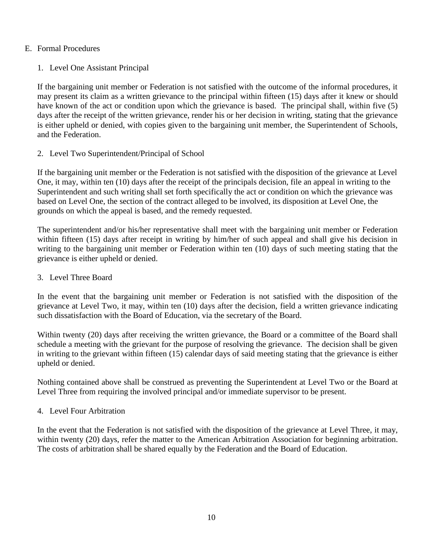#### E. Formal Procedures

# 1. Level One Assistant Principal

If the bargaining unit member or Federation is not satisfied with the outcome of the informal procedures, it may present its claim as a written grievance to the principal within fifteen (15) days after it knew or should have known of the act or condition upon which the grievance is based. The principal shall, within five (5) days after the receipt of the written grievance, render his or her decision in writing, stating that the grievance is either upheld or denied, with copies given to the bargaining unit member, the Superintendent of Schools, and the Federation.

2. Level Two Superintendent/Principal of School

If the bargaining unit member or the Federation is not satisfied with the disposition of the grievance at Level One, it may, within ten (10) days after the receipt of the principals decision, file an appeal in writing to the Superintendent and such writing shall set forth specifically the act or condition on which the grievance was based on Level One, the section of the contract alleged to be involved, its disposition at Level One, the grounds on which the appeal is based, and the remedy requested.

The superintendent and/or his/her representative shall meet with the bargaining unit member or Federation within fifteen (15) days after receipt in writing by him/her of such appeal and shall give his decision in writing to the bargaining unit member or Federation within ten (10) days of such meeting stating that the grievance is either upheld or denied.

# 3. Level Three Board

In the event that the bargaining unit member or Federation is not satisfied with the disposition of the grievance at Level Two, it may, within ten (10) days after the decision, field a written grievance indicating such dissatisfaction with the Board of Education, via the secretary of the Board.

Within twenty (20) days after receiving the written grievance, the Board or a committee of the Board shall schedule a meeting with the grievant for the purpose of resolving the grievance. The decision shall be given in writing to the grievant within fifteen (15) calendar days of said meeting stating that the grievance is either upheld or denied.

Nothing contained above shall be construed as preventing the Superintendent at Level Two or the Board at Level Three from requiring the involved principal and/or immediate supervisor to be present.

# 4. Level Four Arbitration

In the event that the Federation is not satisfied with the disposition of the grievance at Level Three, it may, within twenty (20) days, refer the matter to the American Arbitration Association for beginning arbitration. The costs of arbitration shall be shared equally by the Federation and the Board of Education.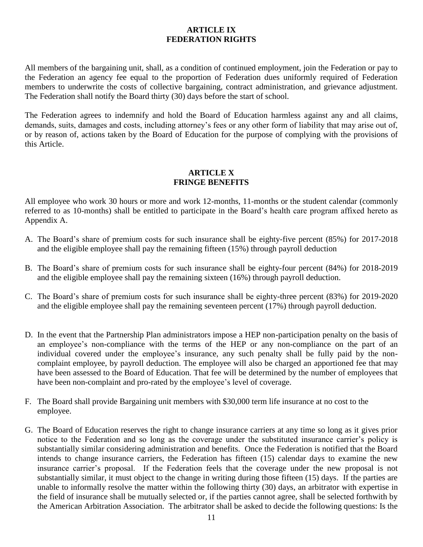## **ARTICLE IX FEDERATION RIGHTS**

<span id="page-11-0"></span>All members of the bargaining unit, shall, as a condition of continued employment, join the Federation or pay to the Federation an agency fee equal to the proportion of Federation dues uniformly required of Federation members to underwrite the costs of collective bargaining, contract administration, and grievance adjustment. The Federation shall notify the Board thirty (30) days before the start of school.

The Federation agrees to indemnify and hold the Board of Education harmless against any and all claims, demands, suits, damages and costs, including attorney's fees or any other form of liability that may arise out of, or by reason of, actions taken by the Board of Education for the purpose of complying with the provisions of this Article.

## **ARTICLE X FRINGE BENEFITS**

<span id="page-11-1"></span>All employee who work 30 hours or more and work 12-months, 11-months or the student calendar (commonly referred to as 10-months) shall be entitled to participate in the Board's health care program affixed hereto as Appendix A.

- A. The Board's share of premium costs for such insurance shall be eighty-five percent (85%) for 2017-2018 and the eligible employee shall pay the remaining fifteen (15%) through payroll deduction
- B. The Board's share of premium costs for such insurance shall be eighty-four percent (84%) for 2018-2019 and the eligible employee shall pay the remaining sixteen (16%) through payroll deduction.
- C. The Board's share of premium costs for such insurance shall be eighty-three percent (83%) for 2019-2020 and the eligible employee shall pay the remaining seventeen percent (17%) through payroll deduction.
- D. In the event that the Partnership Plan administrators impose a HEP non-participation penalty on the basis of an employee's non-compliance with the terms of the HEP or any non-compliance on the part of an individual covered under the employee's insurance, any such penalty shall be fully paid by the noncomplaint employee, by payroll deduction. The employee will also be charged an apportioned fee that may have been assessed to the Board of Education. That fee will be determined by the number of employees that have been non-complaint and pro-rated by the employee's level of coverage.
- F. The Board shall provide Bargaining unit members with \$30,000 term life insurance at no cost to the employee.
- G. The Board of Education reserves the right to change insurance carriers at any time so long as it gives prior notice to the Federation and so long as the coverage under the substituted insurance carrier's policy is substantially similar considering administration and benefits. Once the Federation is notified that the Board intends to change insurance carriers, the Federation has fifteen (15) calendar days to examine the new insurance carrier's proposal. If the Federation feels that the coverage under the new proposal is not substantially similar, it must object to the change in writing during those fifteen (15) days. If the parties are unable to informally resolve the matter within the following thirty (30) days, an arbitrator with expertise in the field of insurance shall be mutually selected or, if the parties cannot agree, shall be selected forthwith by the American Arbitration Association. The arbitrator shall be asked to decide the following questions: Is the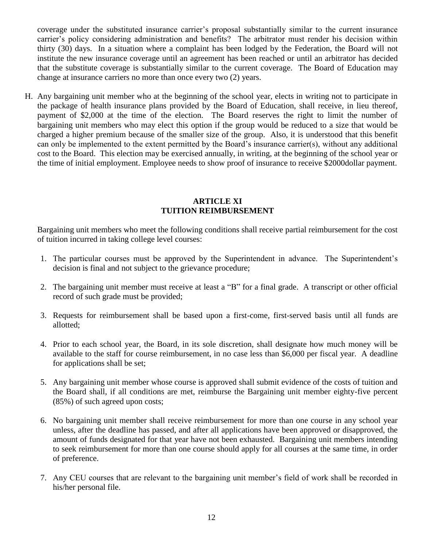coverage under the substituted insurance carrier's proposal substantially similar to the current insurance carrier's policy considering administration and benefits? The arbitrator must render his decision within thirty (30) days. In a situation where a complaint has been lodged by the Federation, the Board will not institute the new insurance coverage until an agreement has been reached or until an arbitrator has decided that the substitute coverage is substantially similar to the current coverage. The Board of Education may change at insurance carriers no more than once every two (2) years.

H. Any bargaining unit member who at the beginning of the school year, elects in writing not to participate in the package of health insurance plans provided by the Board of Education, shall receive, in lieu thereof, payment of \$2,000 at the time of the election. The Board reserves the right to limit the number of bargaining unit members who may elect this option if the group would be reduced to a size that would be charged a higher premium because of the smaller size of the group. Also, it is understood that this benefit can only be implemented to the extent permitted by the Board's insurance carrier(s), without any additional cost to the Board. This election may be exercised annually, in writing, at the beginning of the school year or the time of initial employment. Employee needs to show proof of insurance to receive \$2000dollar payment.

#### **ARTICLE XI TUITION REIMBURSEMENT**

Bargaining unit members who meet the following conditions shall receive partial reimbursement for the cost of tuition incurred in taking college level courses:

- 1. The particular courses must be approved by the Superintendent in advance. The Superintendent's decision is final and not subject to the grievance procedure;
- 2. The bargaining unit member must receive at least a "B" for a final grade. A transcript or other official record of such grade must be provided;
- 3. Requests for reimbursement shall be based upon a first-come, first-served basis until all funds are allotted;
- 4. Prior to each school year, the Board, in its sole discretion, shall designate how much money will be available to the staff for course reimbursement, in no case less than \$6,000 per fiscal year. A deadline for applications shall be set;
- 5. Any bargaining unit member whose course is approved shall submit evidence of the costs of tuition and the Board shall, if all conditions are met, reimburse the Bargaining unit member eighty-five percent (85%) of such agreed upon costs;
- 6. No bargaining unit member shall receive reimbursement for more than one course in any school year unless, after the deadline has passed, and after all applications have been approved or disapproved, the amount of funds designated for that year have not been exhausted. Bargaining unit members intending to seek reimbursement for more than one course should apply for all courses at the same time, in order of preference.
- 7. Any CEU courses that are relevant to the bargaining unit member's field of work shall be recorded in his/her personal file.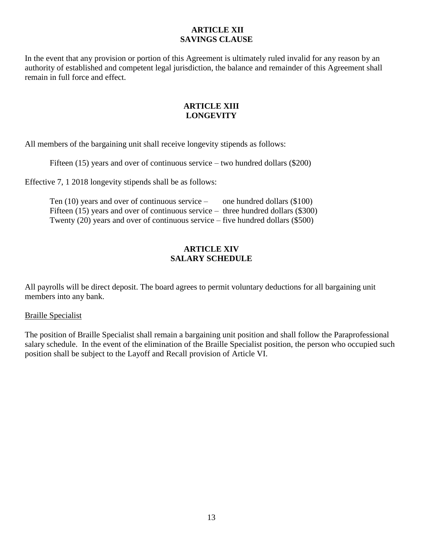# **ARTICLE XII SAVINGS CLAUSE**

In the event that any provision or portion of this Agreement is ultimately ruled invalid for any reason by an authority of established and competent legal jurisdiction, the balance and remainder of this Agreement shall remain in full force and effect.

## **ARTICLE XIII LONGEVITY**

<span id="page-13-0"></span>All members of the bargaining unit shall receive longevity stipends as follows:

Fifteen (15) years and over of continuous service – two hundred dollars (\$200)

Effective 7, 1 2018 longevity stipends shall be as follows:

| Ten $(10)$ years and over of continuous service –                                   | one hundred dollars (\$100) |
|-------------------------------------------------------------------------------------|-----------------------------|
| Fifteen $(15)$ years and over of continuous service – three hundred dollars (\$300) |                             |
| Twenty $(20)$ years and over of continuous service – five hundred dollars $(\$500)$ |                             |

## **ARTICLE XIV SALARY SCHEDULE**

<span id="page-13-1"></span>All payrolls will be direct deposit. The board agrees to permit voluntary deductions for all bargaining unit members into any bank.

#### Braille Specialist

The position of Braille Specialist shall remain a bargaining unit position and shall follow the Paraprofessional salary schedule. In the event of the elimination of the Braille Specialist position, the person who occupied such position shall be subject to the Layoff and Recall provision of Article VI.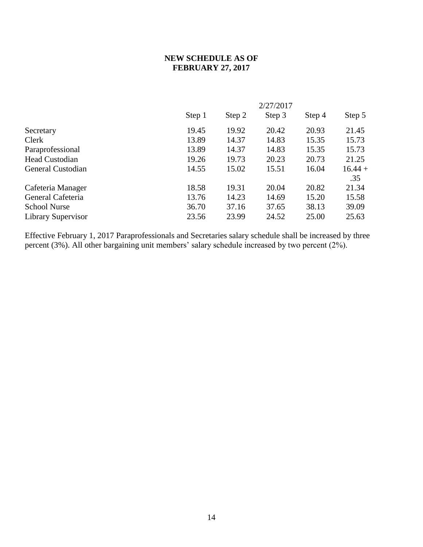# **NEW SCHEDULE AS OF FEBRUARY 27, 2017**

| 2/27/2017 |        |        |        |           |
|-----------|--------|--------|--------|-----------|
| Step 1    | Step 2 | Step 3 | Step 4 | Step 5    |
| 19.45     | 19.92  | 20.42  | 20.93  | 21.45     |
| 13.89     | 14.37  | 14.83  | 15.35  | 15.73     |
| 13.89     | 14.37  | 14.83  | 15.35  | 15.73     |
| 19.26     | 19.73  | 20.23  | 20.73  | 21.25     |
| 14.55     | 15.02  | 15.51  | 16.04  | $16.44 +$ |
|           |        |        |        | .35       |
| 18.58     | 19.31  | 20.04  | 20.82  | 21.34     |
| 13.76     | 14.23  | 14.69  | 15.20  | 15.58     |
| 36.70     | 37.16  | 37.65  | 38.13  | 39.09     |
| 23.56     | 23.99  | 24.52  | 25.00  | 25.63     |
|           |        |        |        |           |

Effective February 1, 2017 Paraprofessionals and Secretaries salary schedule shall be increased by three percent (3%). All other bargaining unit members' salary schedule increased by two percent (2%).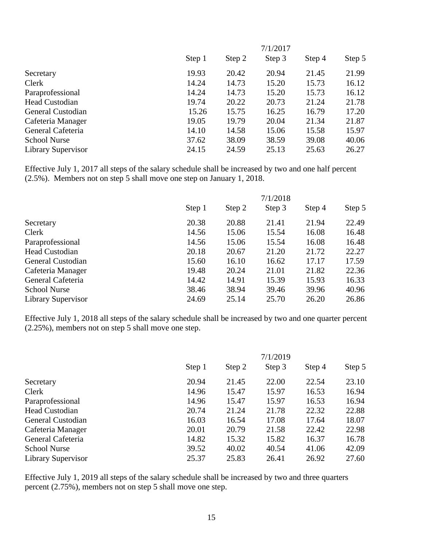|                       | 7/1/2017 |        |        |        |        |
|-----------------------|----------|--------|--------|--------|--------|
|                       | Step 1   | Step 2 | Step 3 | Step 4 | Step 5 |
| Secretary             | 19.93    | 20.42  | 20.94  | 21.45  | 21.99  |
| Clerk                 | 14.24    | 14.73  | 15.20  | 15.73  | 16.12  |
| Paraprofessional      | 14.24    | 14.73  | 15.20  | 15.73  | 16.12  |
| <b>Head Custodian</b> | 19.74    | 20.22  | 20.73  | 21.24  | 21.78  |
| General Custodian     | 15.26    | 15.75  | 16.25  | 16.79  | 17.20  |
| Cafeteria Manager     | 19.05    | 19.79  | 20.04  | 21.34  | 21.87  |
| General Cafeteria     | 14.10    | 14.58  | 15.06  | 15.58  | 15.97  |
| <b>School Nurse</b>   | 37.62    | 38.09  | 38.59  | 39.08  | 40.06  |
| Library Supervisor    | 24.15    | 24.59  | 25.13  | 25.63  | 26.27  |
|                       |          |        |        |        |        |

Effective July 1, 2017 all steps of the salary schedule shall be increased by two and one half percent (2.5%). Members not on step 5 shall move one step on January 1, 2018.

|                       | 7/1/2018 |        |        |        |        |
|-----------------------|----------|--------|--------|--------|--------|
|                       | Step 1   | Step 2 | Step 3 | Step 4 | Step 5 |
| Secretary             | 20.38    | 20.88  | 21.41  | 21.94  | 22.49  |
| Clerk                 | 14.56    | 15.06  | 15.54  | 16.08  | 16.48  |
| Paraprofessional      | 14.56    | 15.06  | 15.54  | 16.08  | 16.48  |
| <b>Head Custodian</b> | 20.18    | 20.67  | 21.20  | 21.72  | 22.27  |
| General Custodian     | 15.60    | 16.10  | 16.62  | 17.17  | 17.59  |
| Cafeteria Manager     | 19.48    | 20.24  | 21.01  | 21.82  | 22.36  |
| General Cafeteria     | 14.42    | 14.91  | 15.39  | 15.93  | 16.33  |
| <b>School Nurse</b>   | 38.46    | 38.94  | 39.46  | 39.96  | 40.96  |
| Library Supervisor    | 24.69    | 25.14  | 25.70  | 26.20  | 26.86  |

Effective July 1, 2018 all steps of the salary schedule shall be increased by two and one quarter percent (2.25%), members not on step 5 shall move one step.

|                       | 7/1/2019 |        |        |        |        |
|-----------------------|----------|--------|--------|--------|--------|
|                       | Step 1   | Step 2 | Step 3 | Step 4 | Step 5 |
| Secretary             | 20.94    | 21.45  | 22.00  | 22.54  | 23.10  |
| Clerk                 | 14.96    | 15.47  | 15.97  | 16.53  | 16.94  |
| Paraprofessional      | 14.96    | 15.47  | 15.97  | 16.53  | 16.94  |
| <b>Head Custodian</b> | 20.74    | 21.24  | 21.78  | 22.32  | 22.88  |
| General Custodian     | 16.03    | 16.54  | 17.08  | 17.64  | 18.07  |
| Cafeteria Manager     | 20.01    | 20.79  | 21.58  | 22.42  | 22.98  |
| General Cafeteria     | 14.82    | 15.32  | 15.82  | 16.37  | 16.78  |
| <b>School Nurse</b>   | 39.52    | 40.02  | 40.54  | 41.06  | 42.09  |
| Library Supervisor    | 25.37    | 25.83  | 26.41  | 26.92  | 27.60  |

Effective July 1, 2019 all steps of the salary schedule shall be increased by two and three quarters percent (2.75%), members not on step 5 shall move one step.